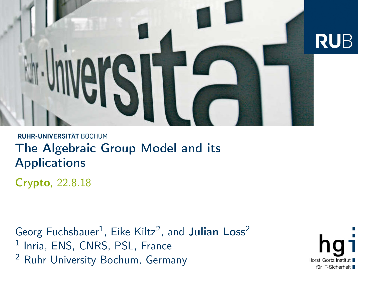<span id="page-0-0"></span>

#### RUHR-UNIVERSITÄT BOCHUM The Algebraic Group Model and its **Applications**

Crypto, 22.8.18

Georg Fuchsbauer<sup>1</sup>, Eike Kiltz<sup>2</sup>, and Julian Loss<sup>2</sup> <sup>1</sup> Inria, ENS, CNRS, PSL, France <sup>2</sup> Ruhr University Bochum, Germany

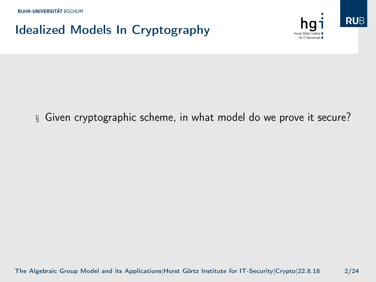

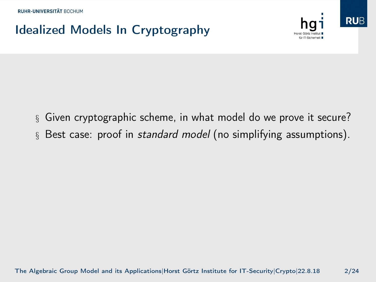

- § Given cryptographic scheme, in what model do we prove it secure?
- § Best case: proof in *standard model* (no simplifying assumptions).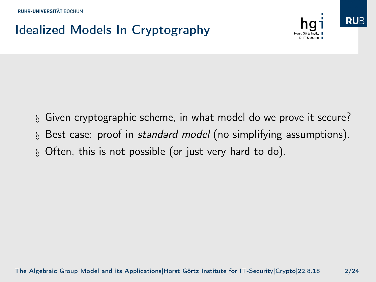



- § Best case: proof in standard model (no simplifying assumptions).
- § Often, this is not possible (or just very hard to do).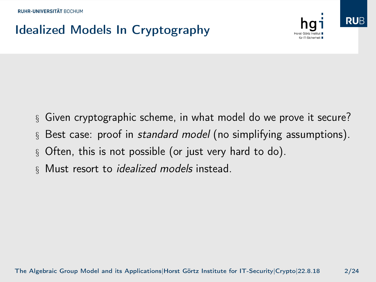

- § Given cryptographic scheme, in what model do we prove it secure?
- § Best case: proof in standard model (no simplifying assumptions).
- § Often, this is not possible (or just very hard to do).
- § Must resort to *idealized models* instead.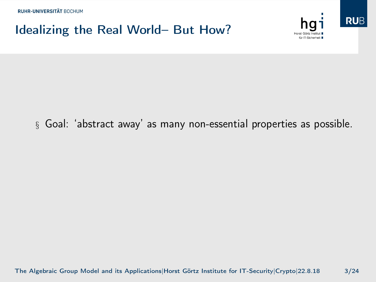#### Idealizing the Real World– But How?



**RUB** 



#### § Goal: 'abstract away' as many non-essential properties as possible.

[The Algebraic Group Model and its Applications|](#page-0-0)Horst Görtz Institute for IT-Security|Crypto|22.8.18 3/24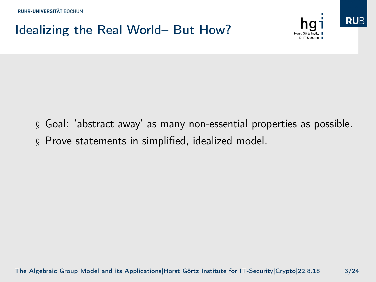### Idealizing the Real World– But How?



**RUB** 



§ Prove statements in simplified, idealized model.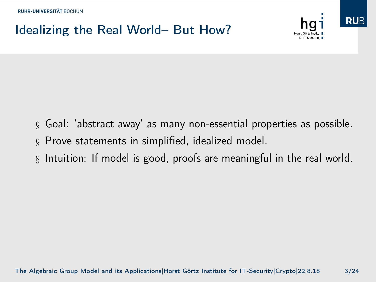## Idealizing the Real World– But How?



**RUB** 

- § Goal: 'abstract away' as many non-essential properties as possible.
- § Prove statements in simplified, idealized model.
- § Intuition: If model is good, proofs are meaningful in the real world.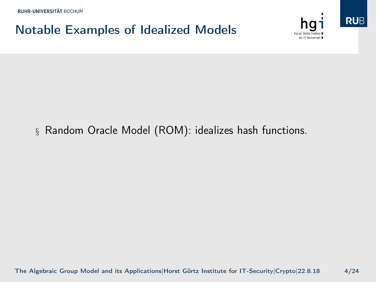## Notable Examples of Idealized Models





#### § Random Oracle Model (ROM): idealizes hash functions.

[The Algebraic Group Model and its Applications|](#page-0-0)Horst Görtz Institute for IT-Security|Crypto|22.8.18 4/24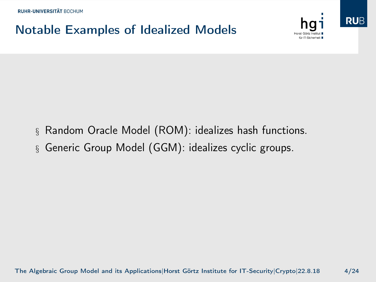## Notable Examples of Idealized Models





- § Random Oracle Model (ROM): idealizes hash functions.
- § Generic Group Model (GGM): idealizes cyclic groups.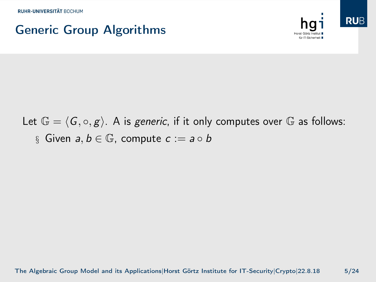### Generic Group Algorithms



Let  $\mathbb{G} = \langle G, \circ, g \rangle$ . A is generic, if it only computes over G as follows: § Given  $a, b \in \mathbb{G}$ , compute  $c := a \circ b$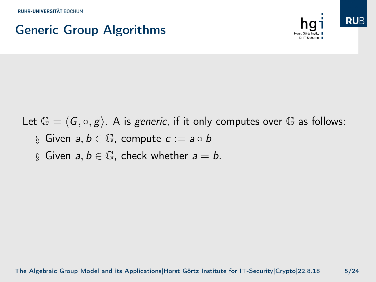### Generic Group Algorithms



Let  $\mathbb{G} = \langle G, \circ, g \rangle$ . A is generic, if it only computes over G as follows:

- § Given  $a, b \in \mathbb{G}$ , compute  $c := a \circ b$
- § Given  $a, b \in \mathbb{G}$ , check whether  $a = b$ .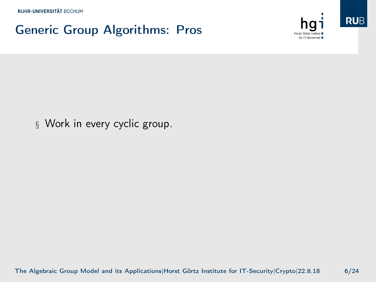#### Generic Group Algorithms: Pros



**RUB** 



[The Algebraic Group Model and its Applications|](#page-0-0)Horst Görtz Institute for IT-Security|Crypto|22.8.18 6/24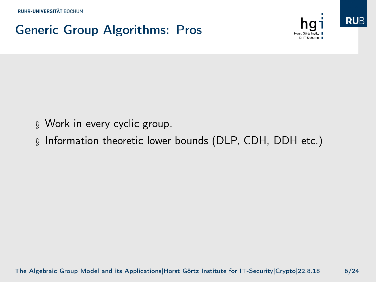## Generic Group Algorithms: Pros





- § Work in every cyclic group.
- § Information theoretic lower bounds (DLP, CDH, DDH etc.)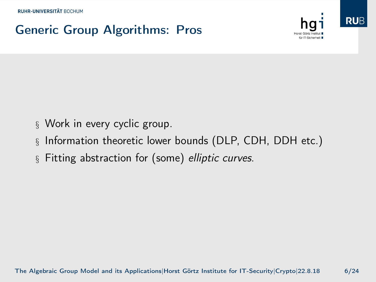## Generic Group Algorithms: Pros





- § Work in every cyclic group.
- § Information theoretic lower bounds (DLP, CDH, DDH etc.)
- § Fitting abstraction for (some) elliptic curves.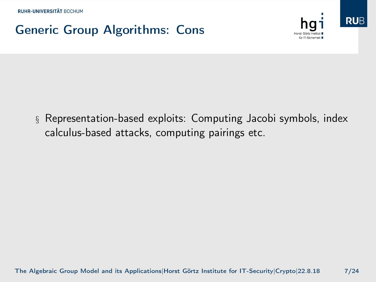## Generic Group Algorithms: Cons





§ Representation-based exploits: Computing Jacobi symbols, index calculus-based attacks, computing pairings etc.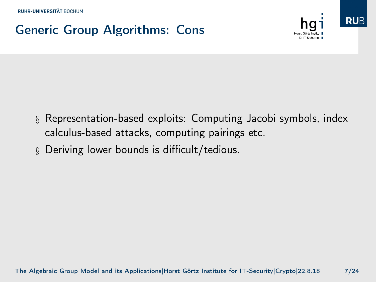## Generic Group Algorithms: Cons





§ Deriving lower bounds is difficult/tedious.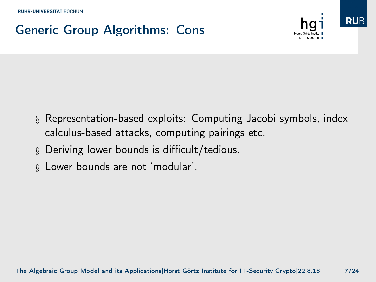## Generic Group Algorithms: Cons



**RUB** 

- § Representation-based exploits: Computing Jacobi symbols, index calculus-based attacks, computing pairings etc.
- § Deriving lower bounds is difficult/tedious.
- § Lower bounds are not 'modular'.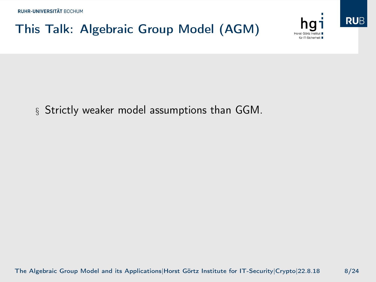## This Talk: Algebraic Group Model (AGM)





§ Strictly weaker model assumptions than GGM.

[The Algebraic Group Model and its Applications|](#page-0-0)Horst Görtz Institute for IT-Security|Crypto|22.8.18 8/24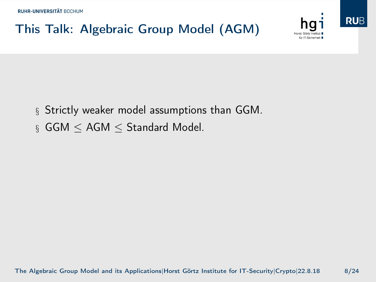



- § Strictly weaker model assumptions than GGM.
- § GGM ≤ AGM ≤ Standard Model.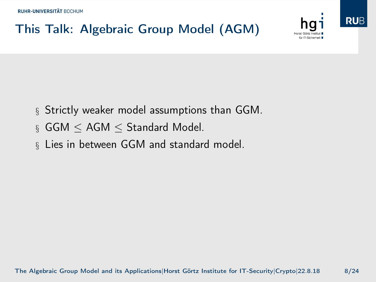



- § Strictly weaker model assumptions than GGM.
- § GGM ≤ AGM ≤ Standard Model.
- § Lies in between GGM and standard model.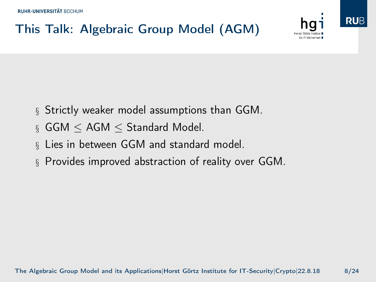



- § Strictly weaker model assumptions than GGM.
- § GGM ≤ AGM ≤ Standard Model.
- § Lies in between GGM and standard model.
- § Provides improved abstraction of reality over GGM.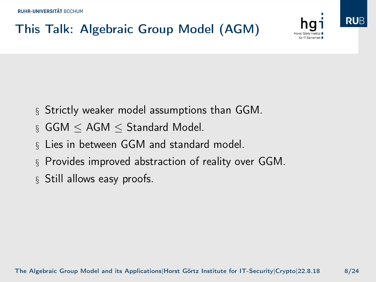

- § Strictly weaker model assumptions than GGM.
- § GGM ≤ AGM ≤ Standard Model.
- § Lies in between GGM and standard model.
- § Provides improved abstraction of reality over GGM.
- § Still allows easy proofs.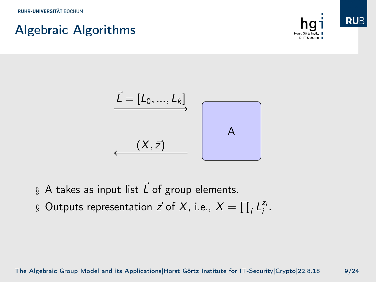#### Algebraic Algorithms





- § A takes as input list  $\vec{L}$  of group elements.
- § Outputs representation  $\vec{z}$  of  $X$ , i.e.,  $X = \prod_i L_i^{z_i}$ .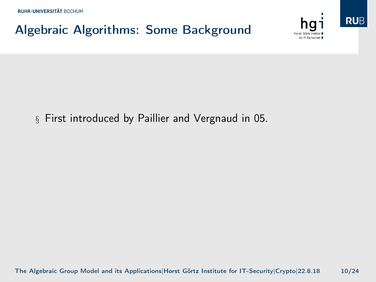## Algebraic Algorithms: Some Background





#### § First introduced by Paillier and Vergnaud in 05.

[The Algebraic Group Model and its Applications|](#page-0-0)Horst Görtz Institute for IT-Security|Crypto|22.8.18 10/24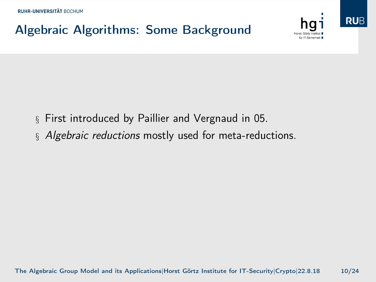## Algebraic Algorithms: Some Background





- § First introduced by Paillier and Vergnaud in 05.
- § Algebraic reductions mostly used for meta-reductions.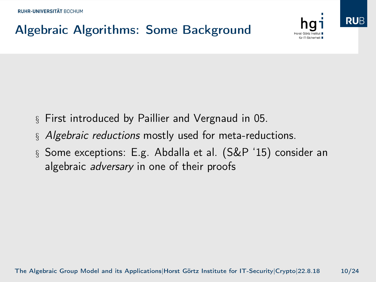## Algebraic Algorithms: Some Background





- § First introduced by Paillier and Vergnaud in 05.
- § Algebraic reductions mostly used for meta-reductions.
- § Some exceptions: E.g. Abdalla et al. (S&P '15) consider an algebraic *adversary* in one of their proofs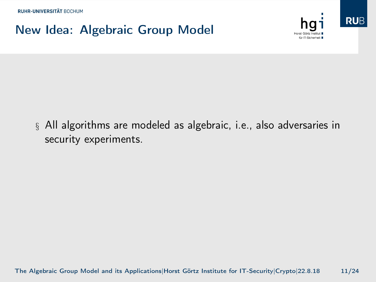#### New Idea: Algebraic Group Model





§ All algorithms are modeled as algebraic, i.e., also adversaries in security experiments.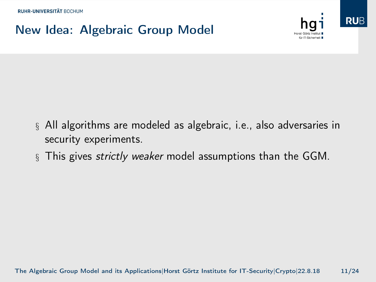## New Idea: Algebraic Group Model





- § All algorithms are modeled as algebraic, i.e., also adversaries in security experiments.
- § This gives *strictly weaker* model assumptions than the GGM.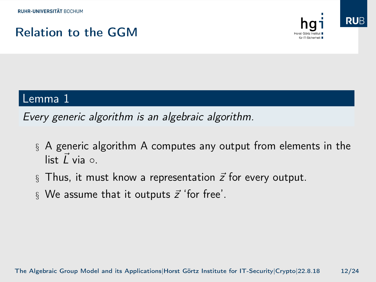#### Relation to the GGM



#### Lemma 1

Every generic algorithm is an algebraic algorithm.

- § A generic algorithm A computes any output from elements in the list  $\vec{L}$  via  $\circ$ .
- § Thus, it must know a representation  $\vec{z}$  for every output.
- § We assume that it outputs  $\vec{z}$  'for free'.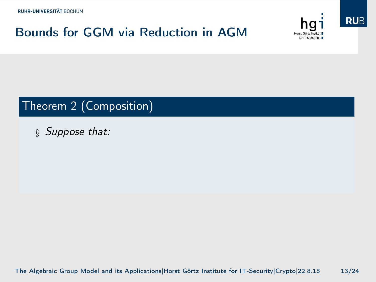#### Bounds for GGM via Reduction in AGM





#### Theorem 2 (Composition)

§ Suppose that:

[The Algebraic Group Model and its Applications|](#page-0-0)Horst Görtz Institute for IT-Security|Crypto|22.8.18 13/24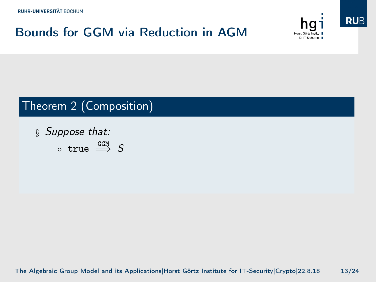#### Bounds for GGM via Reduction in AGM





#### Theorem 2 (Composition)

§ Suppose that:  $\circ$  true  $\overset{\text{GGM}}{\Longrightarrow}$  S

[The Algebraic Group Model and its Applications|](#page-0-0)Horst Görtz Institute for IT-Security|Crypto|22.8.18 13/24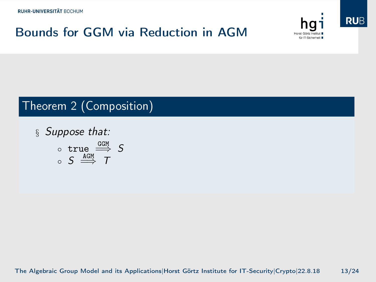## Bounds for GGM via Reduction in AGM





#### Theorem 2 (Composition)

§ Suppose that:  $\circ$  true  $\overset{\text{GGM}}{\Longrightarrow} S$  $\circ$  S  $\xrightarrow{\texttt{AGM}}$  T

[The Algebraic Group Model and its Applications|](#page-0-0)Horst Görtz Institute for IT-Security|Crypto|22.8.18 13/24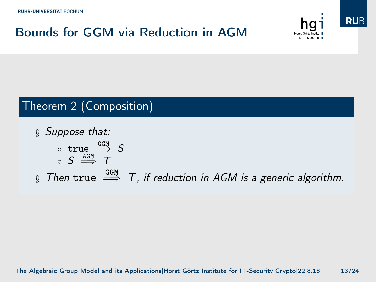## Bounds for GGM via Reduction in AGM





#### Theorem 2 (Composition)

§ Suppose that:  $\circ$  true  $\overset{\text{GGM}}{\Longrightarrow} S$  $\circ$  S  $\xrightarrow{\texttt{AGM}}$  T  $\S$  Then true  $\stackrel{\text{GGM}}{\Longrightarrow}$  T, if reduction in AGM is a generic algorithm.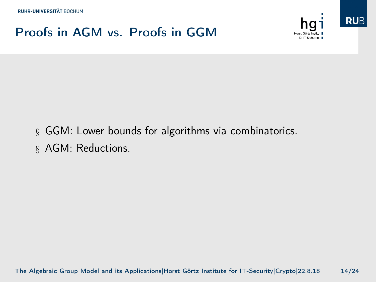#### Proofs in AGM vs. Proofs in GGM





- § GGM: Lower bounds for algorithms via combinatorics.
- § AGM: Reductions.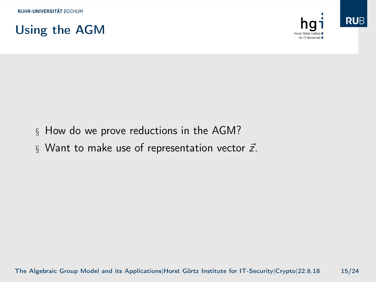



- § How do we prove reductions in the AGM?
- § Want to make use of representation vector  $\vec{z}$ .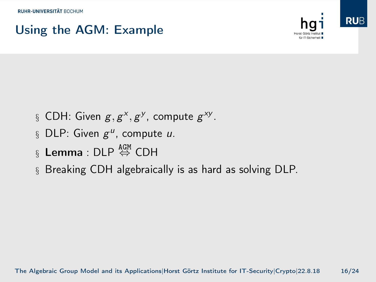### Using the AGM: Example



- § CDH: Given  $g, g^x, g^y$ , compute  $g^{xy}$ .
- § DLP: Given  $g^u$ , compute u.
- $\S$  Lemma : DLP  $\overset{\mathtt{AGM}}{\Leftrightarrow}$  CDH
- § Breaking CDH algebraically is as hard as solving DLP.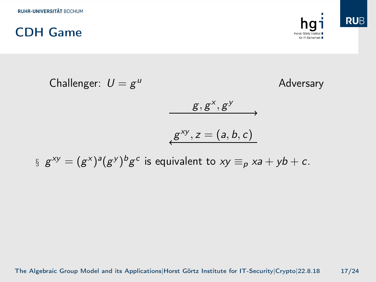

Challenger:  $U = g^u$ Adversary  $g, g^x, g^y$  $g^{xy}, z = (a, b, c)$ 

 $\S\, g^{xy} = (g^x)^a (g^y)^b g^c$  is equivalent to  $xy \equiv_p x^a + y^b + c$ .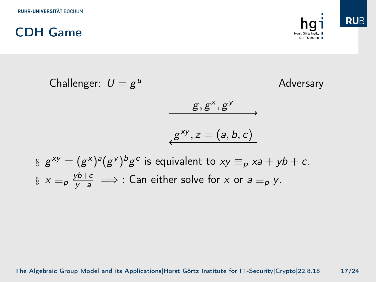

Challenger:  $U = g^u$ Adversary  $g, g^x, g^y$  $g^{xy}, z = (a, b, c)$  $\S\, g^{xy} = (g^x)^a (g^y)^b g^c$  is equivalent to  $xy \equiv_p x^a + y^b + c$ .

 $\S\, \times\, \equiv_p \frac{yb+c}{y-a} \implies$  : Can either solve for  $x$  or  $a \equiv_p y$ .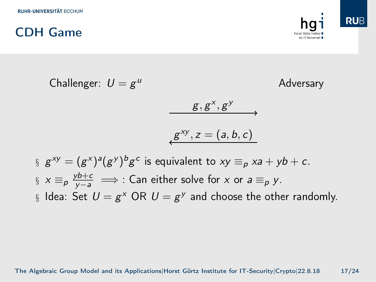

Challenger:  $U = g^u$ 

Adversary

$$
g,g^x,g^y \longrightarrow
$$

$$
g^{xy}, z=(a, b, c)
$$

$$
g^{xy} = (g^{x})^a (g^y)^b g^c
$$
 is equivalent to  $xy \equiv_p xa + yb + c$ .  

$$
g^{x} =_{p} \frac{yb + c}{y - a} \implies g^{x} = g^{x}
$$
 Can either solve for x or  $a \equiv_p y$ .  

$$
g^{x} = g^{x} \implies g^{x} \in (0, 0)
$$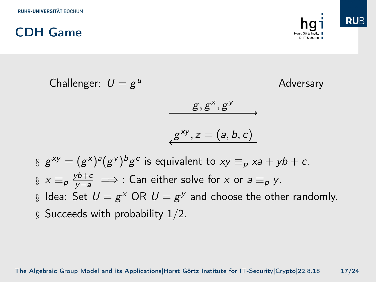

Challenger:  $U = g^u$ 

Adversary

$$
g,g^x,g^y \longrightarrow
$$

$$
g^{xy}, z=(a, b, c)
$$

$$
g^{xy} = (g^x)^a (g^y)^b g^c
$$
 is equivalent to  $xy \equiv_p xa + yb + c$ .  
\n
$$
g^{xy} = \frac{y^{b+c}}{y-a} \implies g^{xy}
$$
: Can either solve for x or  $a \equiv_p y$ .  
\n
$$
g^{xy} = \frac{y^{b+c}}{y-a} \implies g^{xy}
$$
: Can either solve for x or  $a \equiv_p y$ .  
\n
$$
g^{xy} = (g^{xy})^b g^c
$$
: Can either solve for x or  $a \equiv_p y$ .  
\n
$$
g^{xy} = (g^{xy})^b g^c
$$
: Can either solve for x or  $a \equiv_p y$ .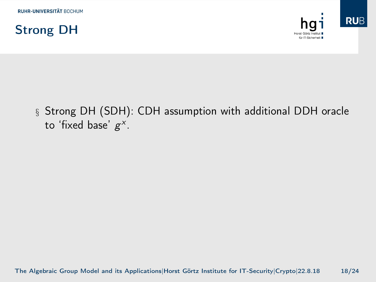



§ Strong DH (SDH): CDH assumption with additional DDH oracle to 'fixed base'  $g^x$ .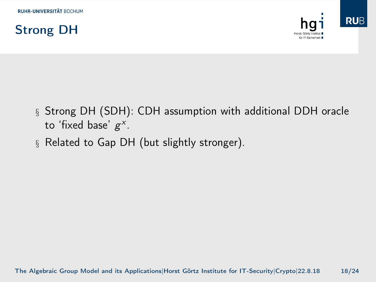

- § Strong DH (SDH): CDH assumption with additional DDH oracle to 'fixed base'  $g^x$ .
- § Related to Gap DH (but slightly stronger).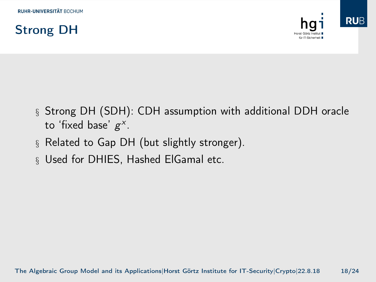

- § Strong DH (SDH): CDH assumption with additional DDH oracle to 'fixed base'  $g^x$ .
- § Related to Gap DH (but slightly stronger).
- § Used for DHIES, Hashed ElGamal etc.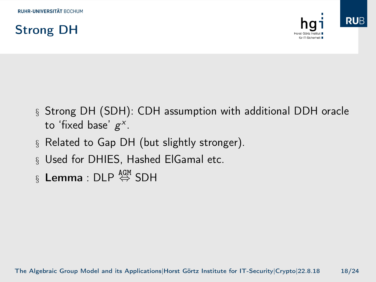

- § Strong DH (SDH): CDH assumption with additional DDH oracle to 'fixed base'  $g^x$ .
- § Related to Gap DH (but slightly stronger).
- § Used for DHIES, Hashed ElGamal etc.
- $\S$  Lemma : DLP  $\overset{\mathtt{AGM}}{\Leftrightarrow}$  SDH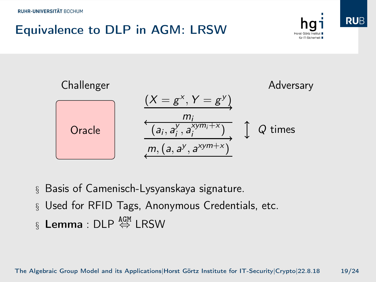## Equivalence to DLP in AGM: LRSW







- § Basis of Camenisch-Lysyanskaya signature.
- § Used for RFID Tags, Anonymous Credentials, etc.
- $\S$  Lemma : DLP  $\overset{\mathtt{AGM}}{\Leftrightarrow}$  LRSW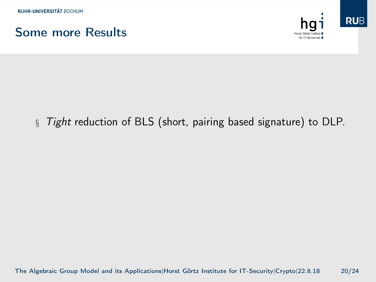



#### § Tight reduction of BLS (short, pairing based signature) to DLP.

[The Algebraic Group Model and its Applications|](#page-0-0)Horst Görtz Institute for IT-Security|Crypto|22.8.18 20/24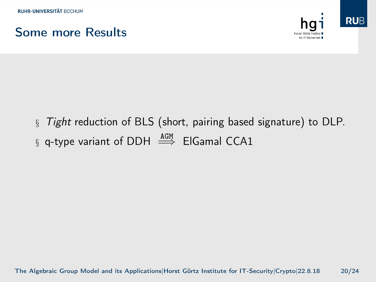



§ Tight reduction of BLS (short, pairing based signature) to DLP. § q-type variant of DDH  $\stackrel{\text{AGM}}{\Longrightarrow}$  ElGamal CCA1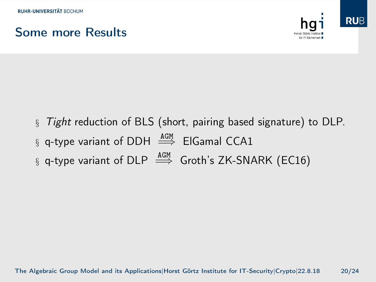#### Some more Results



- § Tight reduction of BLS (short, pairing based signature) to DLP.
- § q-type variant of DDH  $\stackrel{\text{AGM}}{\Longrightarrow}$  ElGamal CCA1
- § q-type variant of DLP  $\stackrel{\text{AGM}}{\Longrightarrow}$  Groth's ZK-SNARK (EC16)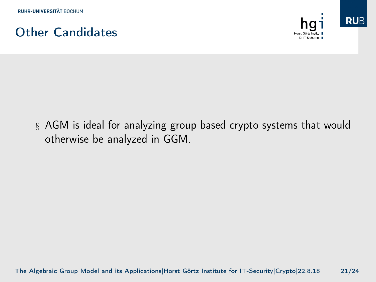



§ AGM is ideal for analyzing group based crypto systems that would otherwise be analyzed in GGM.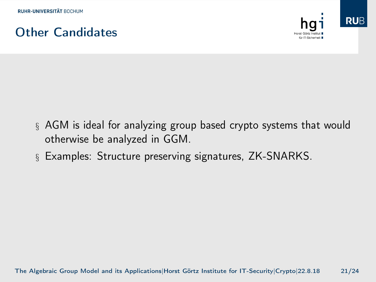



- § AGM is ideal for analyzing group based crypto systems that would otherwise be analyzed in GGM.
- § Examples: Structure preserving signatures, ZK-SNARKS.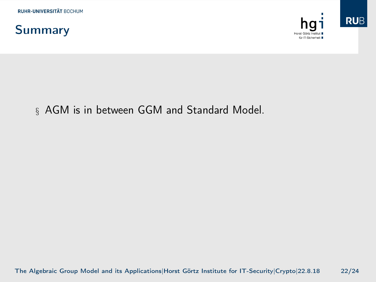



#### § AGM is in between GGM and Standard Model.

[The Algebraic Group Model and its Applications|](#page-0-0)Horst Görtz Institute for IT-Security|Crypto|22.8.18 22/24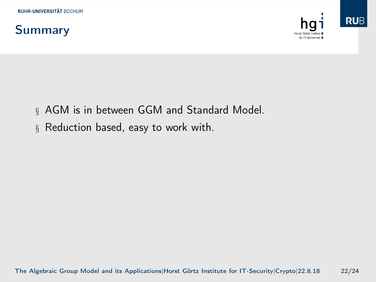



**RUB** 

- § AGM is in between GGM and Standard Model.
- § Reduction based, easy to work with.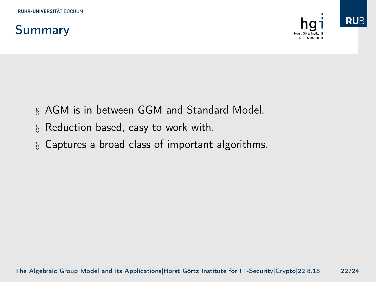## Summary



- § AGM is in between GGM and Standard Model.
- § Reduction based, easy to work with.
- § Captures a broad class of important algorithms.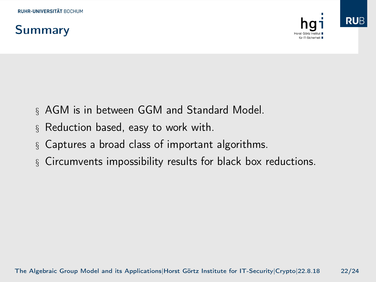## Summary



- § AGM is in between GGM and Standard Model.
- § Reduction based, easy to work with.
- § Captures a broad class of important algorithms.
- § Circumvents impossibility results for black box reductions.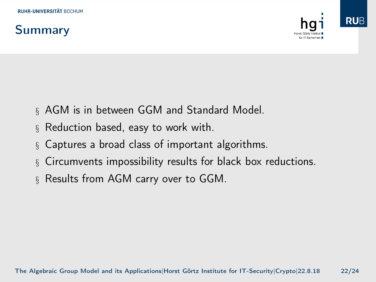## Summary





- § AGM is in between GGM and Standard Model.
- § Reduction based, easy to work with.
- § Captures a broad class of important algorithms.
- § Circumvents impossibility results for black box reductions.
- § Results from AGM carry over to GGM.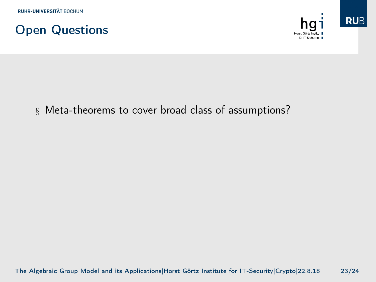





[The Algebraic Group Model and its Applications|](#page-0-0)Horst Görtz Institute for IT-Security|Crypto|22.8.18 23/24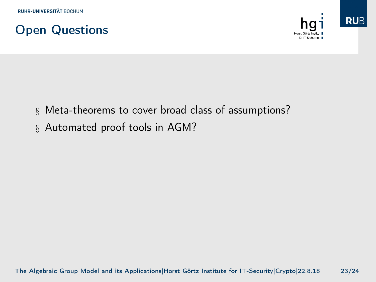



**RUB** 

- § Meta-theorems to cover broad class of assumptions?
- § Automated proof tools in AGM?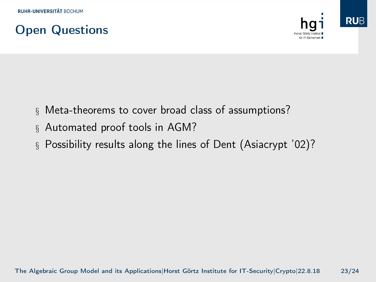





- § Meta-theorems to cover broad class of assumptions?
- § Automated proof tools in AGM?
- § Possibility results along the lines of Dent (Asiacrypt '02)?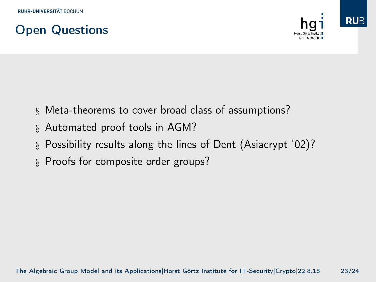### Open Questions



**RUB** 

- § Meta-theorems to cover broad class of assumptions?
	- § Automated proof tools in AGM?
	- § Possibility results along the lines of Dent (Asiacrypt '02)?
	- § Proofs for composite order groups?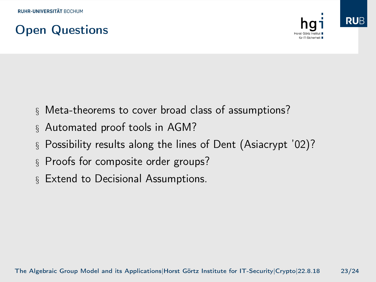### Open Questions



- § Meta-theorems to cover broad class of assumptions?
- § Automated proof tools in AGM?
- § Possibility results along the lines of Dent (Asiacrypt '02)?
- § Proofs for composite order groups?
- § Extend to Decisional Assumptions.